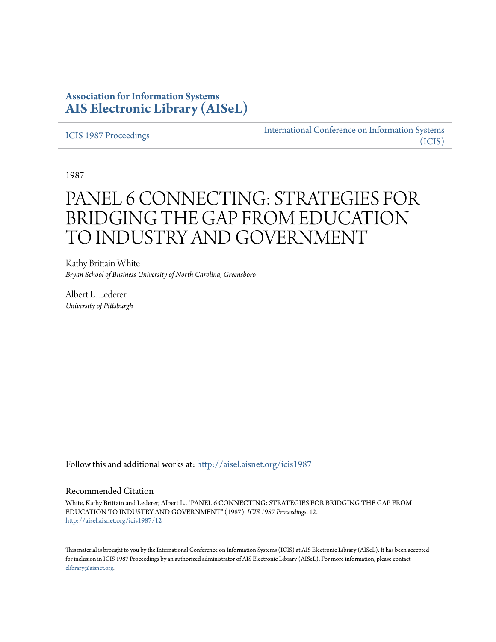# **Association for Information Systems [AIS Electronic Library \(AISeL\)](http://aisel.aisnet.org?utm_source=aisel.aisnet.org%2Ficis1987%2F12&utm_medium=PDF&utm_campaign=PDFCoverPages)**

[ICIS 1987 Proceedings](http://aisel.aisnet.org/icis1987?utm_source=aisel.aisnet.org%2Ficis1987%2F12&utm_medium=PDF&utm_campaign=PDFCoverPages)

[International Conference on Information Systems](http://aisel.aisnet.org/icis?utm_source=aisel.aisnet.org%2Ficis1987%2F12&utm_medium=PDF&utm_campaign=PDFCoverPages) [\(ICIS\)](http://aisel.aisnet.org/icis?utm_source=aisel.aisnet.org%2Ficis1987%2F12&utm_medium=PDF&utm_campaign=PDFCoverPages)

1987

# PANEL 6 CONNECTING: STRATEGIES FOR BRIDGING THE GAP FROM EDUCATION TO INDUSTRY AND GOVERNMENT

Kathy Brittain White *Bryan School of Business University of North Carolina, Greensboro*

Albert L. Lederer *University of Pittsburgh*

Follow this and additional works at: [http://aisel.aisnet.org/icis1987](http://aisel.aisnet.org/icis1987?utm_source=aisel.aisnet.org%2Ficis1987%2F12&utm_medium=PDF&utm_campaign=PDFCoverPages)

## Recommended Citation

White, Kathy Brittain and Lederer, Albert L., "PANEL 6 CONNECTING: STRATEGIES FOR BRIDGING THE GAP FROM EDUCATION TO INDUSTRY AND GOVERNMENT" (1987). *ICIS 1987 Proceedings*. 12. [http://aisel.aisnet.org/icis1987/12](http://aisel.aisnet.org/icis1987/12?utm_source=aisel.aisnet.org%2Ficis1987%2F12&utm_medium=PDF&utm_campaign=PDFCoverPages)

This material is brought to you by the International Conference on Information Systems (ICIS) at AIS Electronic Library (AISeL). It has been accepted for inclusion in ICIS 1987 Proceedings by an authorized administrator of AIS Electronic Library (AISeL). For more information, please contact [elibrary@aisnet.org.](mailto:elibrary@aisnet.org%3E)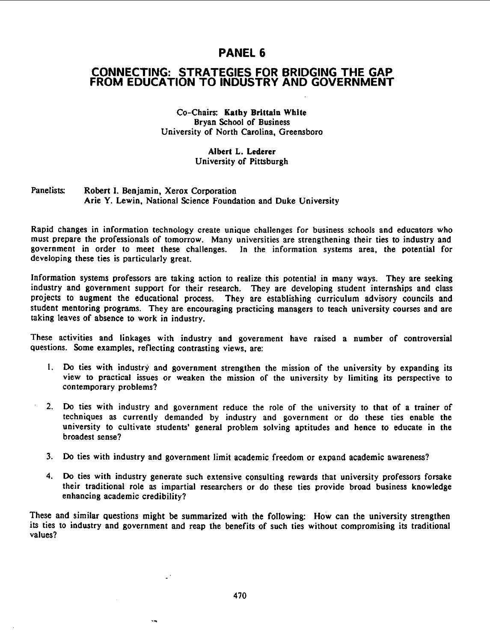## PANEL 6

## CONNECTING: STRATEGIES FOR BRIDGING THE GAP FROM EDUCATION TO INDUSTRY AND GOVERNMENT

Co-Chairs: Kathy Brittain White Bryan School of Business University of North Carolina, Greensboro

## Albert L. Lederer University of Pittsburgh

### Panelists: Robert I. Benjamin, Xerox Corporation Arie Y. Lewin, National Science Foundation and Duke University

Rapid changes in information technology create unique challenges for business schools and educators who must prepare the professionals of tomorrow. Many universities are strengthening their ties to industry and government in order to meet these challenges. In the information systems area, the potential for developing these ties is particularly great.

Information systems professors are taking action to realize this potential in many ways. They are seeking industry and government support for their research. They are developing student internships and class projects to augment the educational process. They are establishing curriculum advisory councils and student mentoring programs. They are encouraging practicing managers to teach university courses and are taking leaves of absence to work in industry.

These activities and linkages with industry and government have raised <sup>a</sup> number of controversial questions. Some examples, reflecting contrasting views, are:

- 1. Do ties with industry and government strengthen the mission of the university by expanding its view to practical issues or weaken the mission of the university by limiting its perspective to contemporary problems?
- 2. Do ties with industry and government reduce the role of the university to that of a trainer of techniques as currently demanded by industry and government or do these ties enable the university to cultivate students' general problem solving aptitudes and hence to educate in the broadest sense?
- 3. Do ties with industry and government limit academic freedom or expand academic awareness?
- 4. Do ties with industry generate such extensive consulting rewards that university professors forsake their traditional role as impartial researchers or do these ties provide broad business knowledge enhancing academic credibility?

These and similar questions might be summarized with the following: How can the university strengthen its ties to industry and government and reap the benefits of such ties without compromising its traditional values?

 $\mathbb{Z}^3$